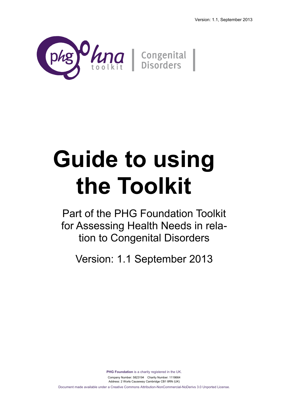

# **Guide to using the Toolkit**

Part of the PHG Foundation Toolkit for Assessing Health Needs in relation to Congenital Disorders

Version: 1.1 September 2013

**PHG Foundation** is a charity registered in the UK. Company Number: 5823194 Charity Number: 1118664 Address: 2 Worts Causeway Cambridge CB1 8RN (UK) Document made available under a Creative Commons Attribution-NonCommercial-NoDerivs 3.0 Unported License.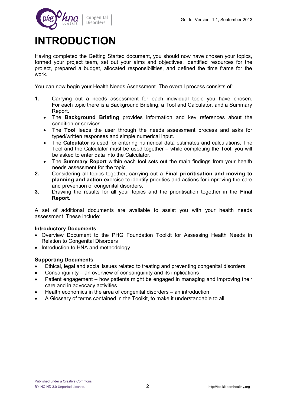

# **INTRODUCTION**

Having completed the Getting Started document, you should now have chosen your topics, formed your project team, set out your aims and objectives, identified resources for the project, prepared a budget, allocated responsibilities, and defined the time frame for the work.

You can now begin your Health Needs Assessment. The overall process consists of:

- **1.** Carrying out a needs assessment for each individual topic you have chosen. For each topic there is a Background Briefing, a Tool and Calculator, and a Summary Report.
	- The **Background Briefing** provides information and key references about the condition or services.
	- The **Tool** leads the user through the needs assessment process and asks for typed/written responses and simple numerical input.
	- The **Calculator** is used for entering numerical data estimates and calculations. The Tool and the Calculator must be used together – while completing the Tool, you will be asked to enter data into the Calculator.
	- The **Summary Report** within each tool sets out the main findings from your health needs assessment for the topic.
- **2.** Considering all topics together, carrying out a **Final prioritisation and moving to planning and action** exercise to identify priorities and actions for improving the care and prevention of congenital disorders.
- **3.** Drawing the results for all your topics and the prioritisation together in the **Final Report.**

A set of additional documents are available to assist you with your health needs assessment. These include:

#### **Introductory Documents**

- Overview Document to the PHG Foundation Toolkit for Assessing Health Needs in Relation to Congenital Disorders
- Introduction to HNA and methodology

#### **Supporting Documents**

- Ethical, legal and social issues related to treating and preventing congenital disorders
- Consanguinity an overview of consanguinity and its implications
- Patient engagement how patients might be engaged in managing and improving their care and in advocacy activities
- Health economics in the area of congenital disorders an introduction
- A Glossary of terms contained in the Toolkit, to make it understandable to all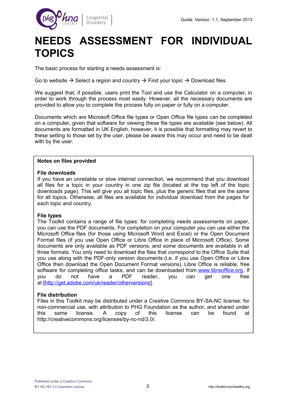

## **NEEDS ASSESSMENT FOR INDIVIDUAL TOPICS**

The basic process for starting a needs assessment is:

Go to website  $\rightarrow$  Select a region and country  $\rightarrow$  Find your topic  $\rightarrow$  Download files

We suggest that, if possible, users print the Tool and use the Calculator on a computer, in order to work through the process most easily. However, all the necessary documents are provided to allow you to complete the process fully on paper or fully on a computer.

Documents which are Microsoft Office file types or Open Office file types can be completed on a computer, given that software for viewing these file types are available (see below). All documents are formatted in UK English, however, it is possible that formatting may revert to these setting to those set by the user, please be aware this may occur and need to be dealt with by the user.

#### **Notes on files provided**

#### **File downloads**

If you have an unreliable or slow internet connection, we recommend that you download all files for a topic in your country in one zip file (located at the top left of the topic downloads page). This will give you all topic files, plus the generic files that are the same for all topics. Otherwise, all files are available for individual download from the pages for each topic and country.

#### **File types**

The Toolkit contains a range of file types: for completing needs assessments on paper, you can use the PDF documents. For completion on your computer you can use either the Microsoft Office files (for those using Microsoft Word and Excel) or the Open Document Format files (if you use Open Office or Libre Office in place of Microsoft Office). Some documents are only available as PDF versions, and some documents are available in all three formats. You only need to download the files that correspond to the Office Suite that you use along with the PDF-only version documents (i.e. if you use Open Office or Libre Office then download the Open Document Format versions). Libre Office is reliable, free software for completing office tasks, and can be downloaded from [www.libreoffice.org.](http://www.libreoffice.org/) If you do not have a PDF reader, you can get one free at [\[http://get.adobe.com/uk/reader/otherversions\]](http://get.adobe.com/uk/reader/otherversions).

#### **File distribution**

Files in this Toolkit may be distributed under a Creative Commons BY-SA-NC license: for non-commercial use, with attribution to PHG Foundation as the author, and shared under this same license. A copy of this license can be found at http://creativecommons.org/licenses/by-nc-nd/3.0/.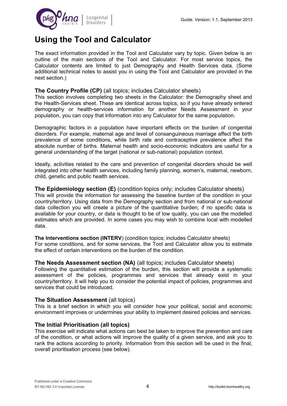

## **Using the Tool and Calculator**

The exact information provided in the Tool and Calculator vary by topic. Given below is an outline of the main sections of the Tool and Calculator. For most service topics, the Calculator contents are limited to just Demography and Health Services data. (Some additional technical notes to assist you in using the Tool and Calculator are provided in the next section.)

#### **The Country Profile (CP)** (all topics; includes Calculator sheets)

This section involves completing two sheets in the Calculator: the Demography sheet and the Health-Services sheet. These are identical across topics, so if you have already entered demography or health-services information for another Needs Assessment in your population, you can copy that information into any Calculator for the same population.

Demographic factors in a population have important effects on the burden of congenital disorders. For example, maternal age and level of consanguineous marriage affect the birth prevalence of some conditions, while birth rate and contraceptive prevalence affect the absolute number of births. Maternal health and socio-economic indicators are useful for a general understanding of the target (national or sub-national) population context.

Ideally, activities related to the care and prevention of congenital disorders should be well integrated into other health services, including family planning, women's, maternal, newborn, child, genetic and public health services.

#### **The Epidemiology section (E)** (condition topics only; includes Calculator sheets) This will provide the information for assessing the baseline burden of the condition in your country/territory. Using data from the Demography section and from national or sub-national data collection you will create a picture of the quantitative burden; if no specific data is available for your country, or data is thought to be of low quality, you can use the modelled estimates which are provided. In some cases you may wish to combine local with modelled data.

**The Interventions section (INTERV**) (condition topics; includes Calculator sheets) For some conditions, and for some services, the Tool and Calculator allow you to estimate the effect of certain interventions on the burden of the condition.

#### **The Needs Assessment section (NA)** (all topics; includes Calculator sheets)

Following the quantitative estimation of the burden, this section will provide a systematic assessment of the policies, programmes and services that already exist in your country/territory. It will help you to consider the potential impact of policies, programmes and services that could be introduced.

#### **The Situation Assessment (all topics)**

This is a brief section in which you will consider how your political, social and economic environment improves or undermines your ability to implement desired policies and services.

#### **The Initial Prioritisation (all topics)**

This exercise will indicate what actions can best be taken to improve the prevention and care of the condition, or what actions will improve the quality of a given service, and ask you to rank the actions according to priority. Information from this section will be used in the final, overall prioritisation process (see below).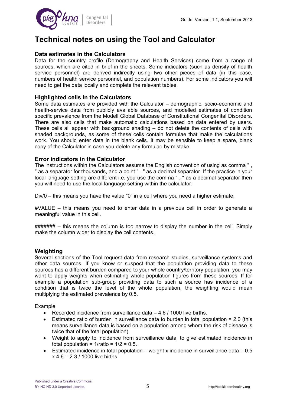

## **Technical notes on using the Tool and Calculator**

#### **Data estimates in the Calculators**

Data for the country profile (Demography and Health Services) come from a range of sources, which are cited in brief in the sheets. Some indicators (such as density of health service personnel) are derived indirectly using two other pieces of data (in this case, numbers of health service personnel, and population numbers). For some indicators you will need to get the data locally and complete the relevant tables.

#### **Highlighted cells in the Calculators**

Some data estimates are provided with the Calculator – demographic, socio-economic and health-service data from publicly available sources, and modelled estimates of condition specific prevalence from the Modell Global Database of Constitutional Congenital Disorders. There are also cells that make automatic calculations based on data entered by users. These cells all appear with background shading – do not delete the contents of cells with shaded backgrounds, as some of these cells contain formulae that make the calculations work. You should enter data in the blank cells. It may be sensible to keep a spare, blank copy of the Calculator in case you delete any formulae by mistake.

#### **Error indicators in the Calculator**

The instructions within the Calculators assume the English convention of using as comma " , " as a separator for thousands, and a point " . " as a decimal separator. If the practice in your local language setting are different i.e. you use the comma " , " as a decimal separator then you will need to use the local language setting within the calculator.

Div/0 – this means you have the value "0" in a cell where you need a higher estimate.

#VALUE – this means you need to enter data in a previous cell in order to generate a meaningful value in this cell.

 $\# \# \# \# \# \#$  – this means the column is too narrow to display the number in the cell. Simply make the column wider to display the cell contents.

#### **Weighting**

Several sections of the Tool request data from research studies, surveillance systems and other data sources. If you know or suspect that the population providing data to these sources has a different burden compared to your whole country/territory population, you may want to apply weights when estimating whole-population figures from these sources. If for example a population sub-group providing data to such a source has incidence of a condition that is twice the level of the whole population, the weighting would mean multiplying the estimated prevalence by 0.5.

Example:

- **•** Recorded incidence from surveillance data  $= 4.6 / 1000$  live births.
- **Estimated ratio of burden in surveillance data to burden in total population = 2.0 (this** means surveillance data is based on a population among whom the risk of disease is twice that of the total population).
- Weight to apply to incidence from surveillance data, to give estimated incidence in total population =  $1/\text{ratio} = 1/2 = 0.5$ .
- Estimated incidence in total population = weight x incidence in surveillance data =  $0.5$  $x$  4.6 = 2.3 / 1000 live births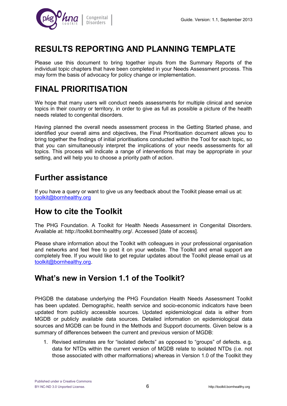

## **RESULTS REPORTING AND PLANNING TEMPLATE**

Please use this document to bring together inputs from the Summary Reports of the individual topic chapters that have been completed in your Needs Assessment process. This may form the basis of advocacy for policy change or implementation.

## **FINAL PRIORITISATION**

We hope that many users will conduct needs assessments for multiple clinical and service topics in their country or territory, in order to give as full as possible a picture of the health needs related to congenital disorders.

Having planned the overall needs assessment process in the Getting Started phase, and identified your overall aims and objectives, the Final Prioritisation document allows you to bring together the findings of initial prioritisations conducted within the Tool for each topic, so that you can simultaneously interpret the implications of your needs assessments for all topics. This process will indicate a range of interventions that may be appropriate in your setting, and will help you to choose a priority path of action.

## **Further assistance**

If you have a query or want to give us any feedback about the Toolkit please email us at: [toolkit@bornhealthy.org](mailto:toolkit@bornhealthy.org)

## **How to cite the Toolkit**

The PHG Foundation. A Toolkit for Health Needs Assessment in Congenital Disorders. Available at: http://toolkit.bornhealthy.org/. Accessed [date of access].

Please share information about the Toolkit with colleagues in your professional organisation and networks and feel free to post it on your website. The Toolkit and email support are completely free. If you would like to get regular updates about the Toolkit please email us at [toolkit@bornhealthy.org.](mailto:toolkit@bornhealthy.org)

### **What's new in Version 1.1 of the Toolkit?**

PHGDB the database underlying the PHG Foundation Health Needs Assessment Toolkit has been updated. Demographic, health service and socio-economic indicators have been updated from publicly accessible sources. Updated epidemiological data is either from MGDB or publicly available data sources. Detailed information on epidemiological data sources and MGDB can be found in the Methods and Support documents. Given below is a summary of differences between the current and previous version of MGDB:

1. Revised estimates are for "isolated defects" as opposed to "groups" of defects. e.g. data for NTDs within the current version of MGDB relate to isolated NTDs (i.e. not those associated with other malformations) whereas in Version 1.0 of the Toolkit they